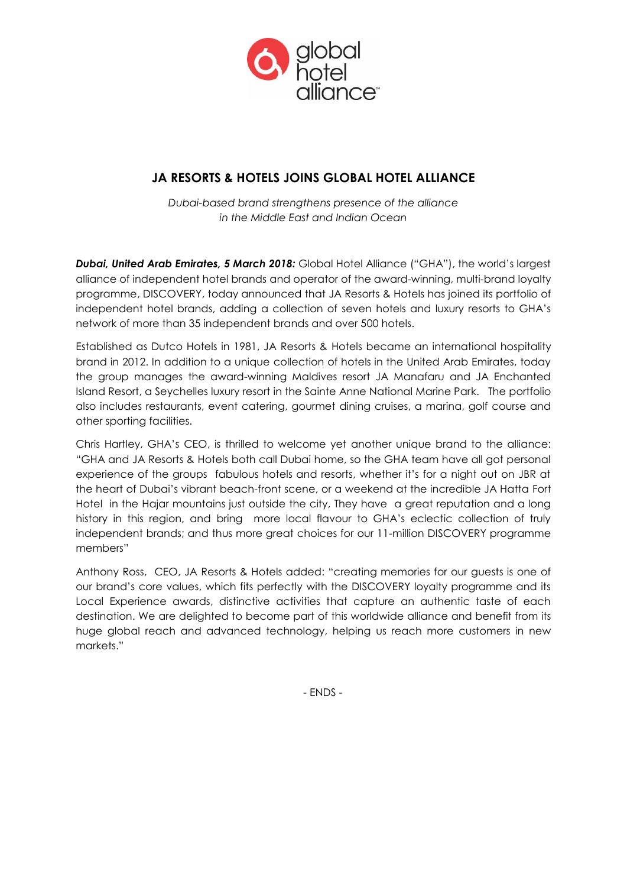

# **JA RESORTS & HOTELS JOINS GLOBAL HOTEL ALLIANCE**

*Dubai-based brand strengthens presence of the alliance in the Middle East and Indian Ocean*

*Dubai, United Arab Emirates, 5 March 2018:* Global Hotel Alliance ("GHA"), the world's largest alliance of independent hotel brands and operator of the award-winning, multi-brand loyalty programme, DISCOVERY, today announced that JA Resorts & Hotels has joined its portfolio of independent hotel brands, adding a collection of seven hotels and luxury resorts to GHA's network of more than 35 independent brands and over 500 hotels.

Established as Dutco Hotels in 1981, JA Resorts & Hotels became an international hospitality brand in 2012. In addition to a unique collection of hotels in the United Arab Emirates, today the group manages the award-winning Maldives resort JA Manafaru and JA Enchanted Island Resort, a Seychelles luxury resort in the Sainte Anne National Marine Park. The portfolio also includes restaurants, event catering, gourmet dining cruises, a marina, golf course and other sporting facilities.

Chris Hartley, GHA's CEO, is thrilled to welcome yet another unique brand to the alliance: "GHA and JA Resorts & Hotels both call Dubai home, so the GHA team have all got personal experience of the groups fabulous hotels and resorts, whether it's for a night out on JBR at the heart of Dubai's vibrant beach-front scene, or a weekend at the incredible JA Hatta Fort Hotel in the Hajar mountains just outside the city, They have a great reputation and a long history in this region, and bring more local flavour to GHA's eclectic collection of truly independent brands; and thus more great choices for our 11-million DISCOVERY programme members"

Anthony Ross, CEO, JA Resorts & Hotels added: "creating memories for our guests is one of our brand's core values, which fits perfectly with the DISCOVERY loyalty programme and its Local Experience awards, distinctive activities that capture an authentic taste of each destination. We are delighted to become part of this worldwide alliance and benefit from its huge global reach and advanced technology, helping us reach more customers in new markets."

- ENDS -